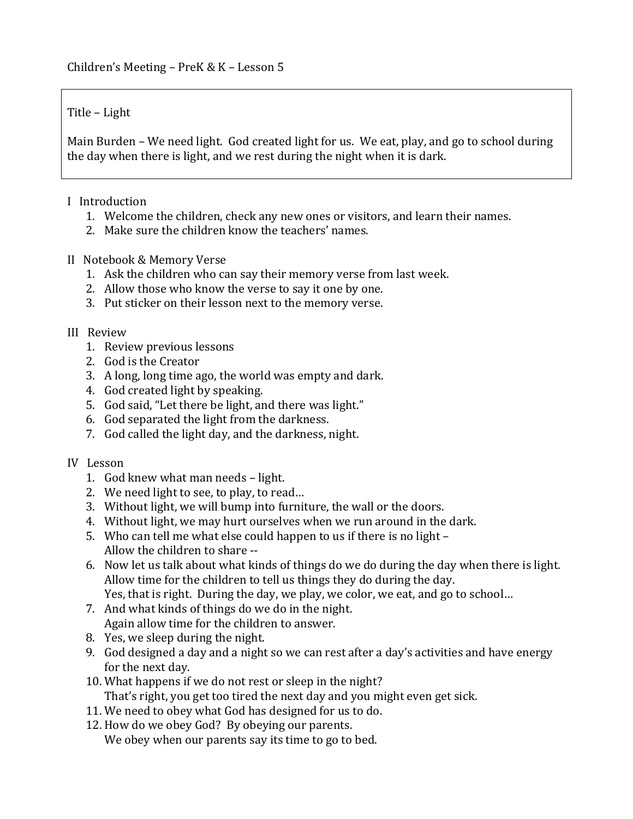## Title – Light

Main Burden – We need light. God created light for us. We eat, play, and go to school during the day when there is light, and we rest during the night when it is dark.

## I Introduction

- 1. Welcome the children, check any new ones or visitors, and learn their names.
- 2. Make sure the children know the teachers' names.

### II Notebook & Memory Verse

- 1. Ask the children who can say their memory verse from last week.
- 2. Allow those who know the verse to say it one by one.
- 3. Put sticker on their lesson next to the memory verse.

### III Review

- 1. Review previous lessons
- 2. God is the Creator
- 3. A long, long time ago, the world was empty and dark.
- 4. God created light by speaking.
- 5. God said, "Let there be light, and there was light."
- 6. God separated the light from the darkness.
- 7. God called the light day, and the darkness, night.

#### IV Lesson

- 1. God knew what man needs light.
- 2. We need light to see, to play, to read...
- 3. Without light, we will bump into furniture, the wall or the doors.
- 4. Without light, we may hurt ourselves when we run around in the dark.
- 5. Who can tell me what else could happen to us if there is no light  $-$ Allow the children to share --
- 6. Now let us talk about what kinds of things do we do during the day when there is light. Allow time for the children to tell us things they do during the day.
	- Yes, that is right. During the day, we play, we color, we eat, and go to school...
- 7. And what kinds of things do we do in the night. Again allow time for the children to answer.
- 8. Yes, we sleep during the night.
- 9. God designed a day and a night so we can rest after a day's activities and have energy for the next day.
- 10. What happens if we do not rest or sleep in the night? That's right, you get too tired the next day and you might even get sick.
- 11. We need to obey what God has designed for us to do.
- 12. How do we obey God? By obeying our parents. We obey when our parents say its time to go to bed.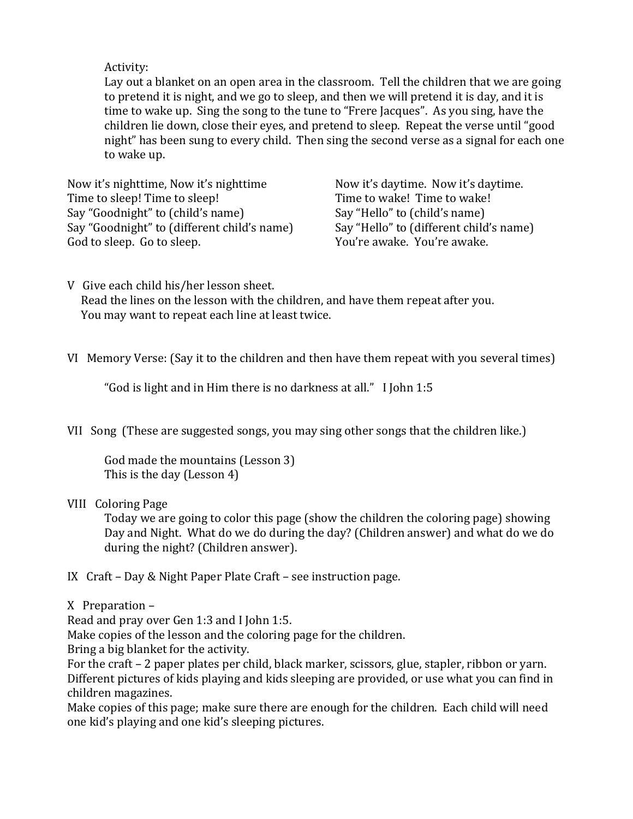Activity:

Lay out a blanket on an open area in the classroom. Tell the children that we are going to pretend it is night, and we go to sleep, and then we will pretend it is day, and it is time to wake up. Sing the song to the tune to "Frere Jacques". As you sing, have the children lie down, close their eyes, and pretend to sleep. Repeat the verse until "good night" has been sung to every child. Then sing the second verse as a signal for each one to wake up.

Now it's nighttime, Now it's nighttime Time to sleep! Time to sleep! Say "Goodnight" to (child's name) Say "Goodnight" to (different child's name) God to sleep. Go to sleep.

Now it's daytime. Now it's daytime. Time to wake! Time to wake! Say "Hello" to (child's name) Say "Hello" to (different child's name) You're awake. You're awake.

V Give each child his/her lesson sheet. Read the lines on the lesson with the children, and have them repeat after you. You may want to repeat each line at least twice.

VI Memory Verse: (Say it to the children and then have them repeat with you several times)

"God is light and in Him there is no darkness at all." I John  $1:5$ 

VII Song (These are suggested songs, you may sing other songs that the children like.)

God made the mountains (Lesson 3) This is the day (Lesson  $4$ )

## VIII Coloring Page

Today we are going to color this page (show the children the coloring page) showing Day and Night. What do we do during the day? (Children answer) and what do we do during the night? (Children answer).

IX  $Craft - Day & Night Paper Plate Craft - see instruction page.$ 

# $X$  Preparation –

Read and pray over Gen 1:3 and I John 1:5.

Make copies of the lesson and the coloring page for the children.

Bring a big blanket for the activity.

For the craft – 2 paper plates per child, black marker, scissors, glue, stapler, ribbon or yarn. Different pictures of kids playing and kids sleeping are provided, or use what you can find in children magazines.

Make copies of this page; make sure there are enough for the children. Each child will need one kid's playing and one kid's sleeping pictures.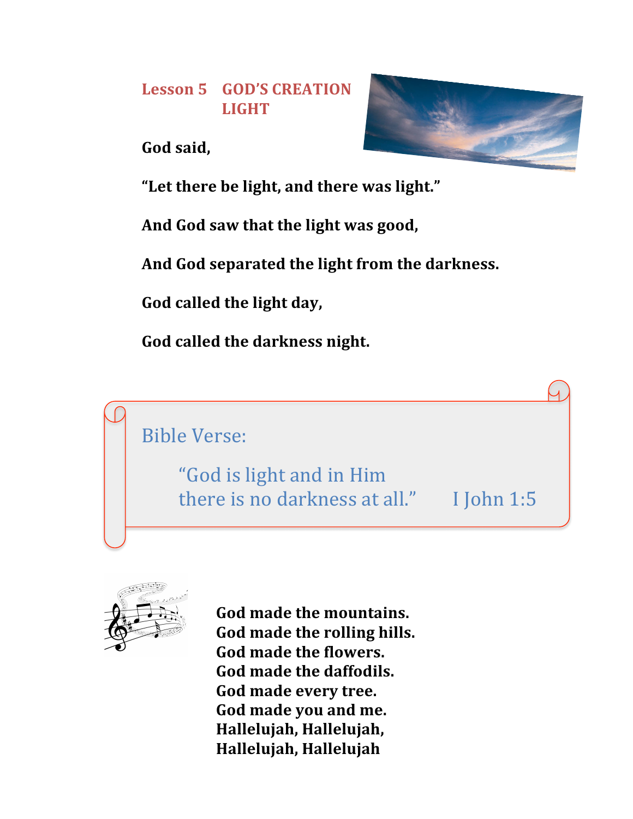**Lesson 5 GOD'S CREATION LIGHT** 

**God said,**



"Let there be light, and there was light."

And God saw that the light was good,

And God separated the light from the darkness.

God called the light day,

God called the darkness night.

Bible Verse:

"God is light and in Him there is no darkness at all." I John  $1:5$ 



God made the mountains. God made the rolling hills. God made the flowers. God made the daffodils. God made every tree. God made you and me. **Hallelujah, Hallelujah, Hallelujah, Hallelujah**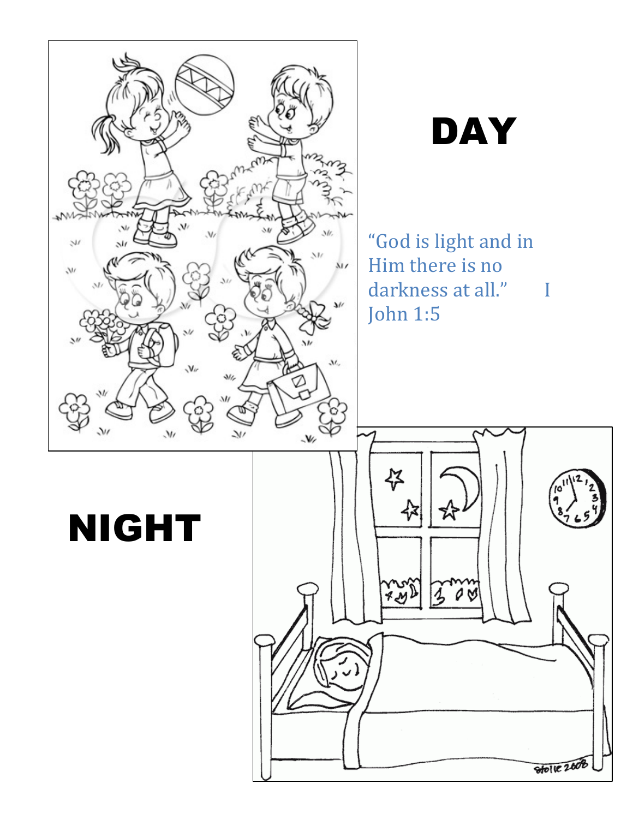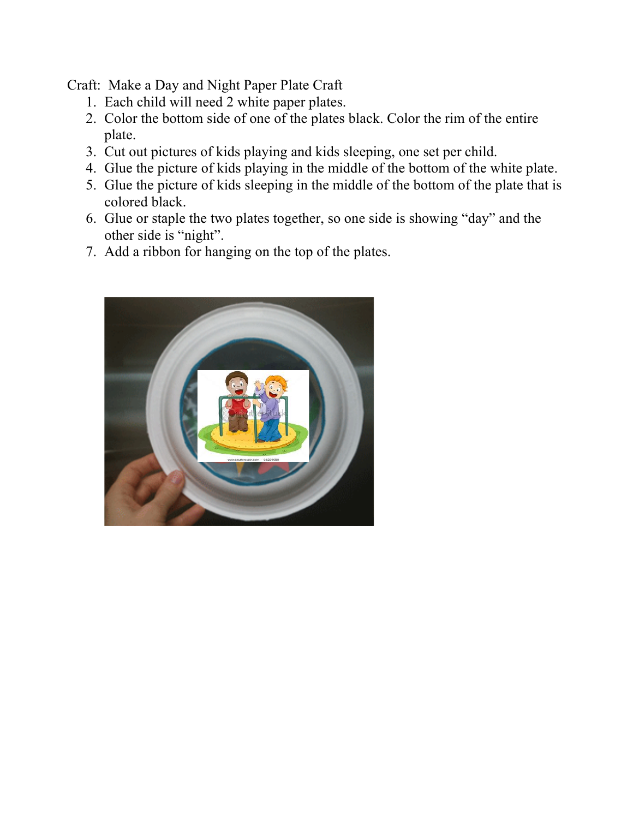Craft: Make a Day and Night Paper Plate Craft

- 1. Each child will need 2 white paper plates.
- 2. Color the bottom side of one of the plates black. Color the rim of the entire plate.
- 3. Cut out pictures of kids playing and kids sleeping, one set per child.
- 4. Glue the picture of kids playing in the middle of the bottom of the white plate.
- 5. Glue the picture of kids sleeping in the middle of the bottom of the plate that is colored black.
- 6. Glue or staple the two plates together, so one side is showing "day" and the other side is "night".
- 7. Add a ribbon for hanging on the top of the plates.

![](_page_4_Picture_8.jpeg)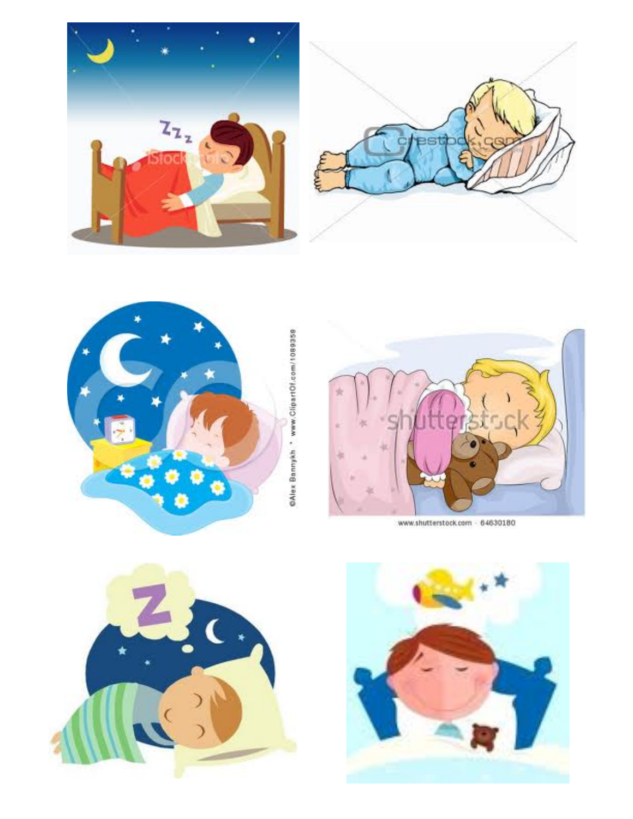![](_page_5_Picture_0.jpeg)

![](_page_5_Picture_1.jpeg)

![](_page_5_Picture_2.jpeg)

www.shutterstock.com - 64630180

![](_page_5_Picture_4.jpeg)

![](_page_5_Picture_5.jpeg)